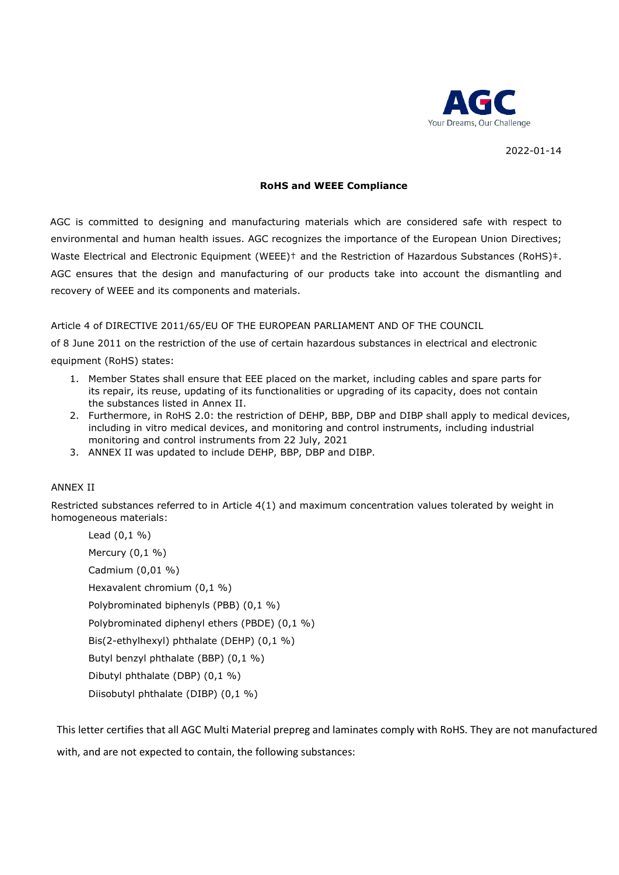

2022-01-14

## **RoHS and WEEE Compliance**

AGC is committed to designing and manufacturing materials which are considered safe with respect to environmental and human health issues. AGC recognizes the importance of the European Union Directives; Waste Electrical and Electronic Equipment (WEEE)<sup>†</sup> and the Restriction of Hazardous Substances (RoHS)<sup>‡</sup>. AGC ensures that the design and manufacturing of our products take into account the dismantling and recovery of WEEE and its components and materials.

## Article 4 of DIRECTIVE 2011/65/EU OF THE EUROPEAN PARLIAMENT AND OF THE COUNCIL

of 8 June 2011 on the restriction of the use of certain hazardous substances in electrical and electronic equipment (RoHS) states:

- 1. Member States shall ensure that EEE placed on the market, including cables and spare parts for its repair, its reuse, updating of its functionalities or upgrading of its capacity, does not contain the substances listed in Annex II.
- 2. Furthermore, in RoHS 2.0: the restriction of DEHP, BBP, DBP and DIBP shall apply to medical devices, including in vitro medical devices, and monitoring and control instruments, including industrial monitoring and control instruments from 22 July, 2021
- 3. ANNEX II was updated to include DEHP, BBP, DBP and DIBP.

## ANNEX II

Restricted substances referred to in Article 4(1) and maximum concentration values tolerated by weight in homogeneous materials:

Lead (0,1 %) Mercury (0,1 %) Cadmium (0,01 %) Hexavalent chromium (0,1 %) Polybrominated biphenyls (PBB) (0,1 %) Polybrominated diphenyl ethers (PBDE) (0,1 %) Bis(2-ethylhexyl) phthalate (DEHP) (0,1 %) Butyl benzyl phthalate (BBP) (0,1 %) Dibutyl phthalate (DBP) (0,1 %) Diisobutyl phthalate (DIBP) (0,1 %)

This letter certifies that all AGC Multi Material prepreg and laminates comply with RoHS. They are not manufactured with, and are not expected to contain, the following substances: